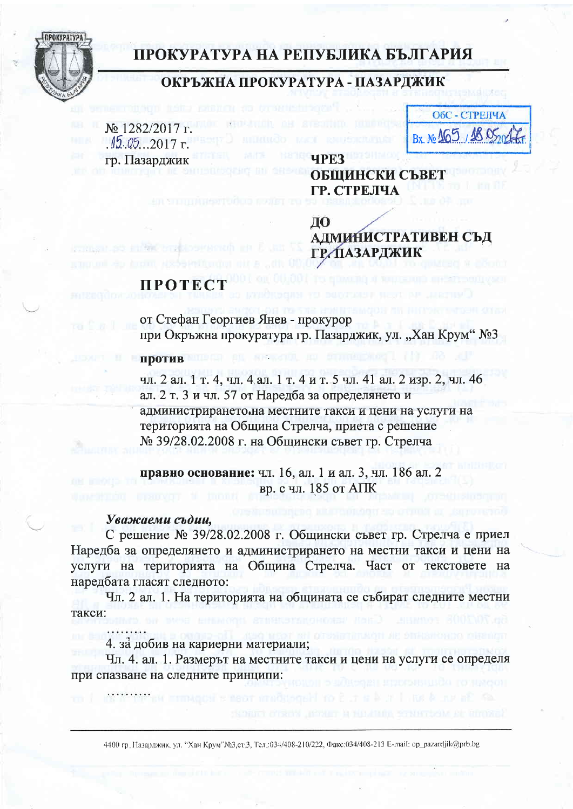

## ПРОКУРАТУРА НА РЕПУБЛИКА БЪЛГАРИЯ

### ОКРЪЖНА ПРОКУРАТУРА - ПАЗАРДЖИК

№ 1282/2017 г.  $.15.05$ . 2017 г. гр. Пазарджик

ОбС - СТРЕЛЧА Bx. No 165, 1805

## ОБЩИНСКИ СЪВЕТ ГР. СТРЕЛЧА

ДО **АДМИНИСТРАТИВЕН СЪД ГР. ПАЗАРДЖИК** 

# **ПРОТЕСТ**

от Стефан Георгиев Янев - прокурор при Окръжна прокуратура гр. Пазарджик, ул. "Хан Крум" №3

**UPE3** 

### против

чл. 2 ал. 1 т. 4, чл. 4 ал. 1 т. 4 и т. 5 чл. 41 ал. 2 изр. 2, чл. 46 ал. 2 т. 3 и чл. 57 от Наредба за определянето и администрирането. на местните такси и цени на услуги на територията на Община Стрелча, приета с решение № 39/28.02.2008 г. на Общински съвет гр. Стрелча

правно основание: чл. 16, ал. 1 и ал. 3, чл. 186 ал. 2 вр. с чл. 185 от АПК

**REGISTER IN** 

#### Уважаеми съдии,

С решение № 39/28.02.2008 г. Общински съвет гр. Стрелча е приел Наредба за определянето и администрирането на местни такси и цени на услуги на територията на Община Стрелча. Част от текстовете на наредбата гласят следното:

Чл. 2 ал. 1. На територията на общината се събират следните местни такси:

4. за добив на кариерни материали;

Чл. 4. ал. 1. Размерът на местните такси и цени на услуги се определя при спазване на следните принципи:

4400 гр. Пазарджик, ул. "Хан Крум"№3,ст/3, Тел.:034/408-210/222, Факс:034/408-213 Е-mail: ор\_раzardjik@prb.bg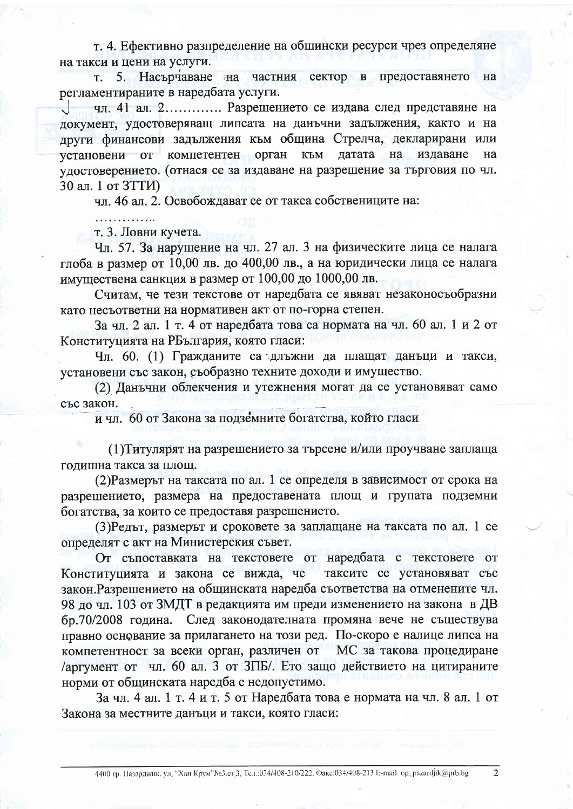т. 4. Ефективно разпределение на общински ресурси чрез определяне на такси и цени на услуги.

5. Насърчаване на частния сектор в предоставянето на T. регламентираните в наредбата услуги.

чл. 41 ал. 2............. Разрешението се издава след представяне на документ, удостоверяващ липсата на данъчни задължения, както и на други финансови задължения към община Стрелча, декларирани или установени от компетентен орган към датата на издаване на удостоверението. (отнася се за издаване на разрешение за търговия по чл. 30 ал. 1 от ЗТТИ)

чл. 46 ал. 2. Освобождават се от такса собствениците на:

.<br>המשוט שישוט שישוט בישראל של המשוט.

т. 3. Ловни кучета.

Чл. 57. За нарушение на чл. 27 ал. 3 на физическите лица се налага глоба в размер от 10,00 лв. до 400,00 лв., а на юридически лица се налага имуществена санкция в размер от 100,00 до 1000,00 лв.

Считам, че тези текстове от наредбата се явяват незаконосъобразни като несъответни на нормативен акт от по-горна степен.

За чл. 2 ал. 1 т. 4 от наредбата това са нормата на чл. 60 ал. 1 и 2 от Конституцията на РБългария, която гласи:

Чл. 60. (1) Гражданите са длъжни да плащат данъци и такси, установени със закон, съобразно техните доходи и имущество.

(2) Данъчни облекчения и утежнения могат да се установяват само със закон.

и чл. 60 от Закона за подземните богатства, който гласи

(1) Титулярят на разрешението за търсене и/или проучване заплаща годишна такса за площ.

(2) Размерът на таксата по ал. 1 се определя в зависимост от срока на разрешението, размера на предоставената площ и групата подземни богатства, за които се предоставя разрешението.

(3) Редът, размерът и сроковете за заплащане на таксата по ал. 1 се определят с акт на Министерския съвет.

От съпоставката на текстовете от наредбата с текстовете от Конституцията и закона се вижда, че таксите се установяват със закон. Разрешението на общинската наредба съответства на отменените чл. 98 до чл. 103 от ЗМДТ в редакцията им преди изменението на закона в ДВ бр.70/2008 година. След законодателната промяна вече не съществува правно основание за прилагането на този ред. По-скоро е налице липса на компетентност за всеки орган, различен от МС за такова процедиране /аргумент от чл. 60 ал. 3 от ЗПБ/. Ето защо действието на цитираните норми от общинската наредба е недопустимо.

За чл. 4 ал. 1 т. 4 и т. 5 от Наредбата това е нормата на чл. 8 ал. 1 от Закона за местните данъци и такси, която гласи:

 $\overline{2}$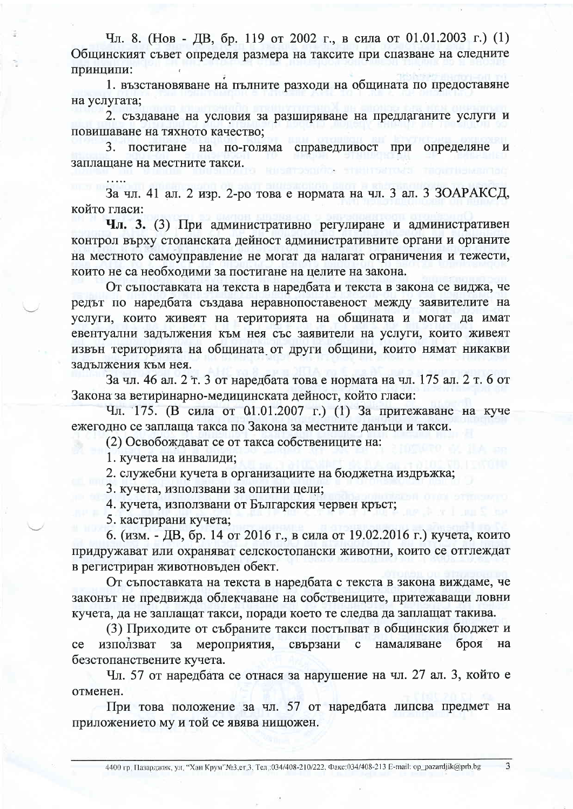Чл. 8. (Нов - ДВ, бр. 119 от 2002 г., в сила от 01.01.2003 г.) (1) Общинският съвет определя размера на таксите при спазване на следните принципи:

1. възстановяване на пълните разходи на общината по предоставяне на услугата;

2. създаване на условия за разширяване на предлаганите услуги и повишаване на тяхното качество:

3. постигане на по-голяма справедливост при определяне и заплащане на местните такси.

За чл. 41 ал. 2 изр. 2-ро това е нормата на чл. 3 ал. 3 ЗОАРАКСД, който гласи:

Чл. 3. (3) При административно регулиране и административен контрол върху стопанската дейност административните органи и органите на местното самоуправление не могат да налагат ограничения и тежести, които не са необходими за постигане на целите на закона.

От съпоставката на текста в наредбата и текста в закона се виджа, че редът по наредбата създава неравнопоставеност между заявителите на услуги, които живеят на територията на общината и могат да имат евентуални задължения към нея със заявители на услуги, които живеят извън територията на общината от други общини, които нямат никакви задължения към нея.

За чл. 46 ал. 2 т. 3 от наредбата това е нормата на чл. 175 ал. 2 т. 6 от Закона за ветиринарно-медицинската дейност, който гласи:

Чл. 175. (В сила от 01.01.2007 г.) (1) За притежаване на куче ежегодно се заплаща такса по Закона за местните данъци и такси.

(2) Освобождават се от такса собствениците на:

1. кучета на инвалиди:

2. служебни кучета в организациите на бюджетна издръжка;

3. кучета, използвани за опитни цели:

4. кучета, използвани от Българския червен кръст;

5. кастрирани кучета;

6. (изм. - ДВ, бр. 14 от 2016 г., в сила от 19.02.2016 г.) кучета, които придружават или охраняват селскостопански животни, които се отглеждат в регистриран животновъден обект.

От съпоставката на текста в наредбата с текста в закона виждаме, че законът не предвижда облекчаване на собствениците, притежаващи ловни кучета, да не заплащат такси, поради което те следва да заплащат такива.

(3) Приходите от събраните такси постъпват в общинския бюджет и мероприятия, свързани намаляване броя ce използват  $3a$  $\mathbf{c}$ на безстопанствените кучета.

Чл. 57 от наредбата се отнася за нарушение на чл. 27 ал. 3, който е отменен.

При това положение за чл. 57 от наредбата липсва предмет на приложението му и той се явява нищожен.

3